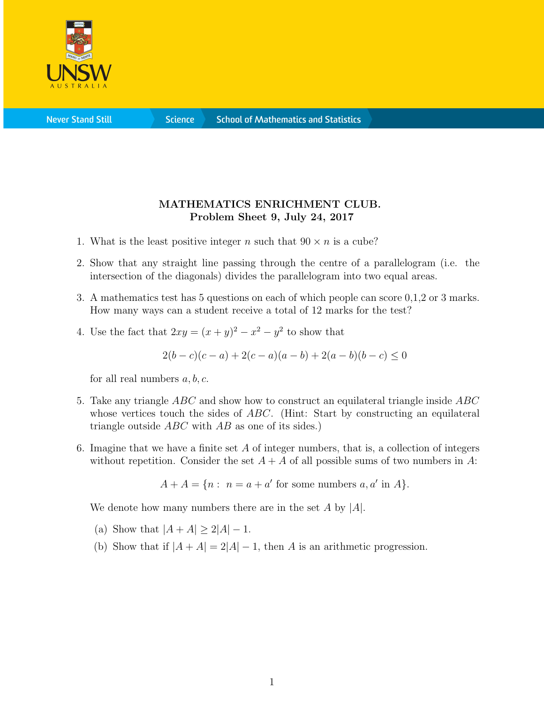

**Science** 

## MATHEMATICS ENRICHMENT CLUB. Problem Sheet 9, July 24, 2017

- 1. What is the least positive integer n such that  $90 \times n$  is a cube?
- 2. Show that any straight line passing through the centre of a parallelogram (i.e. the intersection of the diagonals) divides the parallelogram into two equal areas.
- 3. A mathematics test has 5 questions on each of which people can score 0,1,2 or 3 marks. How many ways can a student receive a total of 12 marks for the test?
- 4. Use the fact that  $2xy = (x+y)^2 x^2 y^2$  to show that

$$
2(b-c)(c-a) + 2(c-a)(a-b) + 2(a-b)(b-c) \le 0
$$

for all real numbers  $a, b, c$ .

- 5. Take any triangle ABC and show how to construct an equilateral triangle inside ABC whose vertices touch the sides of ABC. (Hint: Start by constructing an equilateral triangle outside  $ABC$  with  $AB$  as one of its sides.)
- 6. Imagine that we have a finite set  $A$  of integer numbers, that is, a collection of integers without repetition. Consider the set  $A + A$  of all possible sums of two numbers in A:

$$
A + A = \{ n : n = a + a' \text{ for some numbers } a, a' \text{ in } A \}.
$$

We denote how many numbers there are in the set  $A$  by  $|A|$ .

- (a) Show that  $|A + A| \ge 2|A| 1$ .
- (b) Show that if  $|A + A| = 2|A| 1$ , then A is an arithmetic progression.